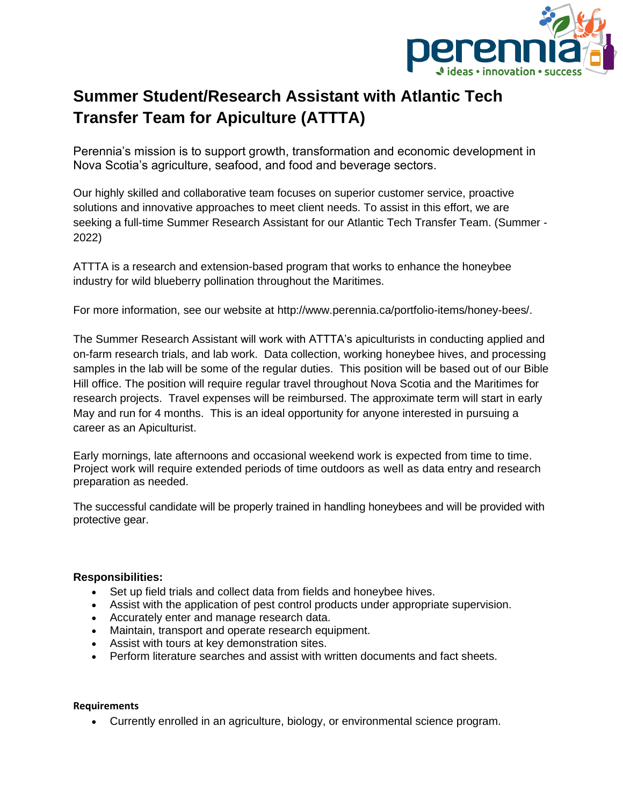

## **Summer Student/Research Assistant with Atlantic Tech Transfer Team for Apiculture (ATTTA)**

Perennia's mission is to support growth, transformation and economic development in Nova Scotia's agriculture, seafood, and food and beverage sectors.

Our highly skilled and collaborative team focuses on superior customer service, proactive solutions and innovative approaches to meet client needs. To assist in this effort, we are seeking a full-time Summer Research Assistant for our Atlantic Tech Transfer Team. (Summer - 2022)

ATTTA is a research and extension-based program that works to enhance the honeybee industry for wild blueberry pollination throughout the Maritimes.

For more information, see our website at http://www.perennia.ca/portfolio-items/honey-bees/.

The Summer Research Assistant will work with ATTTA's apiculturists in conducting applied and on-farm research trials, and lab work. Data collection, working honeybee hives, and processing samples in the lab will be some of the regular duties. This position will be based out of our Bible Hill office. The position will require regular travel throughout Nova Scotia and the Maritimes for research projects. Travel expenses will be reimbursed. The approximate term will start in early May and run for 4 months. This is an ideal opportunity for anyone interested in pursuing a career as an Apiculturist.

Early mornings, late afternoons and occasional weekend work is expected from time to time. Project work will require extended periods of time outdoors as well as data entry and research preparation as needed.

The successful candidate will be properly trained in handling honeybees and will be provided with protective gear.

## **Responsibilities:**

- Set up field trials and collect data from fields and honeybee hives.
- Assist with the application of pest control products under appropriate supervision.
- Accurately enter and manage research data.
- Maintain, transport and operate research equipment.
- Assist with tours at key demonstration sites.
- Perform literature searches and assist with written documents and fact sheets.

## **Requirements**

• Currently enrolled in an agriculture, biology, or environmental science program.